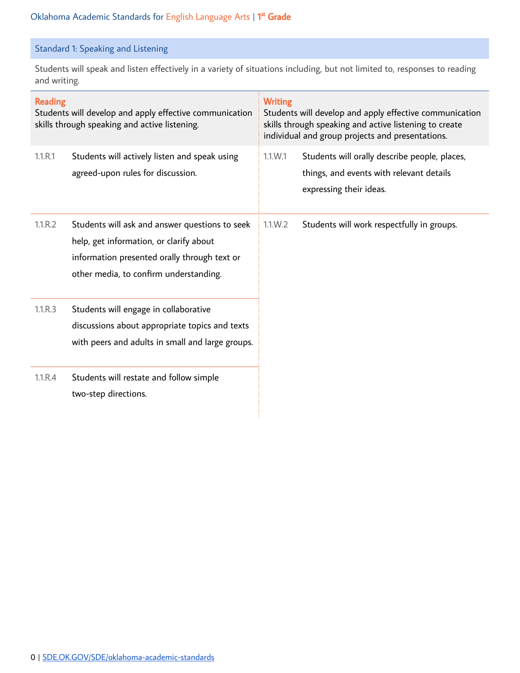## Standard 1: Speaking and Listening

Students will speak and listen effectively in a variety of situations including, but not limited to, responses to reading and writing.

| <b>Reading</b><br>Students will develop and apply effective communication<br>skills through speaking and active listening. |                                                                                                                                                                                     | <b>Writing</b><br>Students will develop and apply effective communication<br>skills through speaking and active listening to create<br>individual and group projects and presentations. |                                                                                                                      |
|----------------------------------------------------------------------------------------------------------------------------|-------------------------------------------------------------------------------------------------------------------------------------------------------------------------------------|-----------------------------------------------------------------------------------------------------------------------------------------------------------------------------------------|----------------------------------------------------------------------------------------------------------------------|
| 1.1.R.1                                                                                                                    | Students will actively listen and speak using<br>agreed-upon rules for discussion.                                                                                                  | 1.1.W.1                                                                                                                                                                                 | Students will orally describe people, places,<br>things, and events with relevant details<br>expressing their ideas. |
| 1.1.R.2                                                                                                                    | Students will ask and answer questions to seek<br>help, get information, or clarify about<br>information presented orally through text or<br>other media, to confirm understanding. | 1.1.W.2                                                                                                                                                                                 | Students will work respectfully in groups.                                                                           |
| 1.1.R.3                                                                                                                    | Students will engage in collaborative<br>discussions about appropriate topics and texts<br>with peers and adults in small and large groups.                                         |                                                                                                                                                                                         |                                                                                                                      |
| 1.1.R.4                                                                                                                    | Students will restate and follow simple<br>two-step directions.                                                                                                                     |                                                                                                                                                                                         |                                                                                                                      |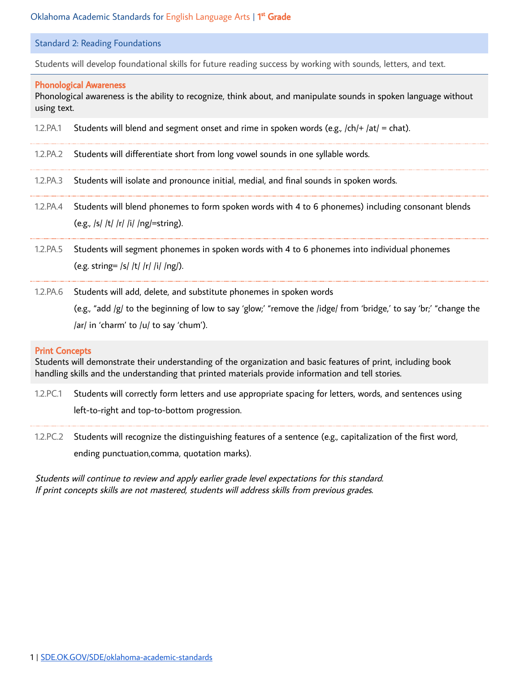#### Standard 2: Reading Foundations

Students will develop foundational skills for future reading success by working with sounds, letters, and text.

#### Phonological Awareness

Phonological awareness is the ability to recognize, think about, and manipulate sounds in spoken language without using text.

- 1.2.PA.1 Students will blend and segment onset and rime in spoken words (e.g.,  $\vert$ ch/+  $\vert$ at/ = chat).
- 1.2.PA.2 Students will differentiate short from long vowel sounds in one syllable words.
- 1.2.PA.3 Students will isolate and pronounce initial, medial, and final sounds in spoken words.
- 1.2.PA.4 Students will blend phonemes to form spoken words with 4 to 6 phonemes) including consonant blends (e.g., /s/ /t/ /r/ /i/ /ng/=string).
- 1.2.PA.5 Students will segment phonemes in spoken words with 4 to 6 phonemes into individual phonemes (e.g. string= /s/ /t/ /r/ /i/ /ng/).
- 1.2.PA.6 Students will add, delete, and substitute phonemes in spoken words (e.g., "add /g/ to the beginning of low to say 'glow;' "remove the /idge/ from 'bridge,' to say 'br;' "change the /ar/ in 'charm' to /u/ to say 'chum').

#### Print Concepts

Students will demonstrate their understanding of the organization and basic features of print, including book handling skills and the understanding that printed materials provide information and tell stories.

- 1.2.PC.1 Students will correctly form letters and use appropriate spacing for letters, words, and sentences using left-to-right and top-to-bottom progression.
- 1.2.PC.2 Students will recognize the distinguishing features of a sentence (e.g., capitalization of the first word, ending punctuation,comma, quotation marks).

Students will continue to review and apply earlier grade level expectations for this standard. If print concepts skills are not mastered, students will address skills from previous grades.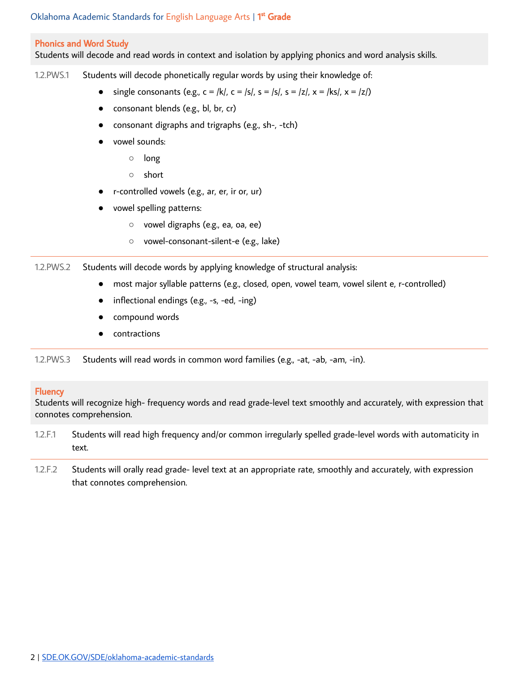#### Phonics and Word Study

Students will decode and read words in context and isolation by applying phonics and word analysis skills.

1.2.PWS.1 Students will decode phonetically regular words by using their knowledge of:

- single consonants (e.g.,  $c = |k|$ ,  $c = |s|$ ,  $s = |s|$ ,  $s = |z|$ ,  $x = |ks|$ ,  $x = |z|$ )
- consonant blends (e.g., bl, br, cr)
- consonant digraphs and trigraphs (e.g., sh-, -tch)
- vowel sounds:
	- long
	- short
- r-controlled vowels (e.g., ar, er, ir or, ur)
- vowel spelling patterns:
	- vowel digraphs (e.g., ea, oa, ee)
	- vowel-consonant-silent-e (e.g., lake)

1.2.PWS.2 Students will decode words by applying knowledge of structural analysis:

- most major syllable patterns (e.g., closed, open, vowel team, vowel silent e, r-controlled)
- inflectional endings (e.g., -s, -ed, -ing)
- compound words
- contractions

1.2.PWS.3 Students will read words in common word families (e.g., -at, -ab, -am, -in).

#### **Fluency**

Students will recognize high- frequency words and read grade-level text smoothly and accurately, with expression that connotes comprehension.

- 1.2.F.1 Students will read high frequency and/or common irregularly spelled grade-level words with automaticity in text.
- 1.2.F.2 Students will orally read grade- level text at an appropriate rate, smoothly and accurately, with expression that connotes comprehension.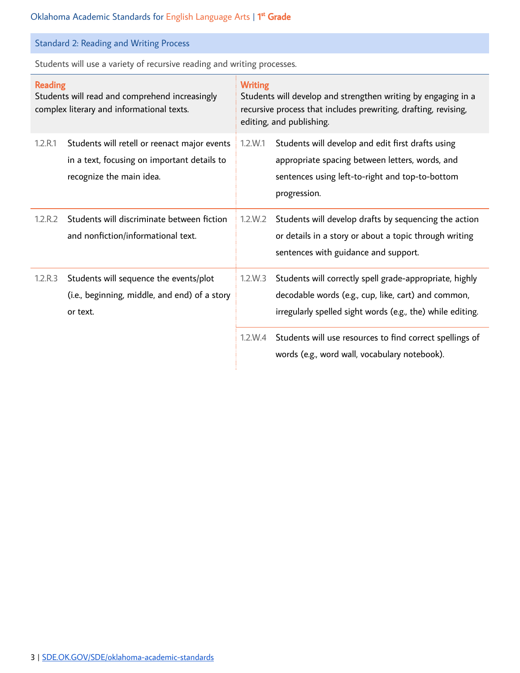# Standard 2: Reading and Writing Process

Students will use a variety of recursive reading and writing processes.

| <b>Reading</b><br>Students will read and comprehend increasingly<br>complex literary and informational texts. |                                                                                                                         | <b>Writing</b><br>Students will develop and strengthen writing by engaging in a<br>recursive process that includes prewriting, drafting, revising,<br>editing, and publishing. |                                                                                                                                                                              |
|---------------------------------------------------------------------------------------------------------------|-------------------------------------------------------------------------------------------------------------------------|--------------------------------------------------------------------------------------------------------------------------------------------------------------------------------|------------------------------------------------------------------------------------------------------------------------------------------------------------------------------|
| 1.2.R.1                                                                                                       | Students will retell or reenact major events<br>in a text, focusing on important details to<br>recognize the main idea. | 1.2.W.1                                                                                                                                                                        | Students will develop and edit first drafts using<br>appropriate spacing between letters, words, and<br>sentences using left-to-right and top-to-bottom<br>progression.      |
| 1.2.R.2                                                                                                       | Students will discriminate between fiction<br>and nonfiction/informational text.                                        | 1.2.W.2                                                                                                                                                                        | Students will develop drafts by sequencing the action<br>or details in a story or about a topic through writing<br>sentences with guidance and support.                      |
| 1.2.R.3                                                                                                       | Students will sequence the events/plot<br>(i.e., beginning, middle, and end) of a story<br>or text.                     | 1.2.W.3                                                                                                                                                                        | Students will correctly spell grade-appropriate, highly<br>decodable words (e.g., cup, like, cart) and common,<br>irregularly spelled sight words (e.g., the) while editing. |
|                                                                                                               |                                                                                                                         | 1.2.W.4                                                                                                                                                                        | Students will use resources to find correct spellings of<br>words (e.g., word wall, vocabulary notebook).                                                                    |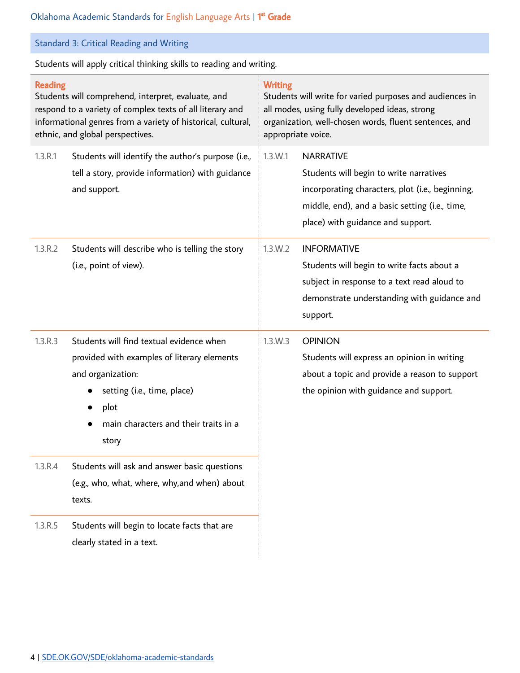| Standard 3: Critical Reading and Writing |  |  |  |  |  |  |
|------------------------------------------|--|--|--|--|--|--|
|------------------------------------------|--|--|--|--|--|--|

Students will apply critical thinking skills to reading and writing.

| Reading<br>Students will comprehend, interpret, evaluate, and<br>respond to a variety of complex texts of all literary and<br>informational genres from a variety of historical, cultural,<br>ethnic, and global perspectives. |                                                                                                                                                                                                       | <b>Writing</b><br>Students will write for varied purposes and audiences in<br>all modes, using fully developed ideas, strong<br>organization, well-chosen words, fluent sentences, and<br>appropriate voice. |                                                                                                                                                                                                        |  |
|--------------------------------------------------------------------------------------------------------------------------------------------------------------------------------------------------------------------------------|-------------------------------------------------------------------------------------------------------------------------------------------------------------------------------------------------------|--------------------------------------------------------------------------------------------------------------------------------------------------------------------------------------------------------------|--------------------------------------------------------------------------------------------------------------------------------------------------------------------------------------------------------|--|
| 1.3.R.1                                                                                                                                                                                                                        | Students will identify the author's purpose (i.e.,<br>tell a story, provide information) with guidance<br>and support.                                                                                | 1.3.W.1                                                                                                                                                                                                      | <b>NARRATIVE</b><br>Students will begin to write narratives<br>incorporating characters, plot (i.e., beginning,<br>middle, end), and a basic setting (i.e., time,<br>place) with guidance and support. |  |
| 1.3.R.2                                                                                                                                                                                                                        | Students will describe who is telling the story<br>(i.e., point of view).                                                                                                                             | 1.3.W.2                                                                                                                                                                                                      | <b>INFORMATIVE</b><br>Students will begin to write facts about a<br>subject in response to a text read aloud to<br>demonstrate understanding with guidance and<br>support.                             |  |
| 1.3.R.3                                                                                                                                                                                                                        | Students will find textual evidence when<br>provided with examples of literary elements<br>and organization:<br>setting (i.e., time, place)<br>plot<br>main characters and their traits in a<br>story | 1.3.W.3                                                                                                                                                                                                      | <b>OPINION</b><br>Students will express an opinion in writing<br>about a topic and provide a reason to support<br>the opinion with guidance and support.                                               |  |
| 1.3.R.4                                                                                                                                                                                                                        | Students will ask and answer basic questions<br>(e.g., who, what, where, why, and when) about<br>texts.                                                                                               |                                                                                                                                                                                                              |                                                                                                                                                                                                        |  |
| 1.3.R.5                                                                                                                                                                                                                        | Students will begin to locate facts that are<br>clearly stated in a text.                                                                                                                             |                                                                                                                                                                                                              |                                                                                                                                                                                                        |  |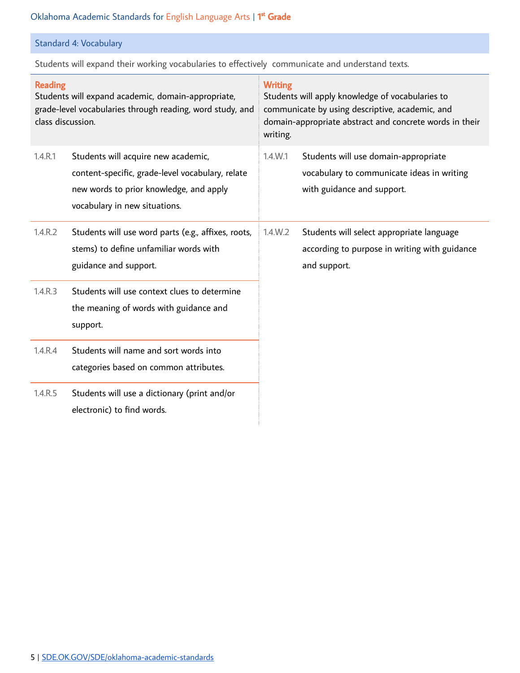# Standard 4: Vocabulary

Students will expand their working vocabularies to effectively communicate and understand texts.

| <b>Reading</b><br>Students will expand academic, domain-appropriate,<br>grade-level vocabularies through reading, word study, and<br>class discussion. |                                                                                                                                                                     | <b>Writing</b><br>Students will apply knowledge of vocabularies to<br>communicate by using descriptive, academic, and<br>domain-appropriate abstract and concrete words in their<br>writing. |                                                                                                                  |
|--------------------------------------------------------------------------------------------------------------------------------------------------------|---------------------------------------------------------------------------------------------------------------------------------------------------------------------|----------------------------------------------------------------------------------------------------------------------------------------------------------------------------------------------|------------------------------------------------------------------------------------------------------------------|
| 1.4.R.1                                                                                                                                                | Students will acquire new academic,<br>content-specific, grade-level vocabulary, relate<br>new words to prior knowledge, and apply<br>vocabulary in new situations. | $1.4$ . W. 1                                                                                                                                                                                 | Students will use domain-appropriate<br>vocabulary to communicate ideas in writing<br>with guidance and support. |
| 1.4.R.2                                                                                                                                                | Students will use word parts (e.g., affixes, roots,<br>stems) to define unfamiliar words with<br>guidance and support.                                              | 1.4.W.2                                                                                                                                                                                      | Students will select appropriate language<br>according to purpose in writing with guidance<br>and support.       |
| 1.4.R.3                                                                                                                                                | Students will use context clues to determine<br>the meaning of words with guidance and<br>support.                                                                  |                                                                                                                                                                                              |                                                                                                                  |
| 1.4.R.4                                                                                                                                                | Students will name and sort words into<br>categories based on common attributes.                                                                                    |                                                                                                                                                                                              |                                                                                                                  |
| 1.4.R.5                                                                                                                                                | Students will use a dictionary (print and/or<br>electronic) to find words.                                                                                          |                                                                                                                                                                                              |                                                                                                                  |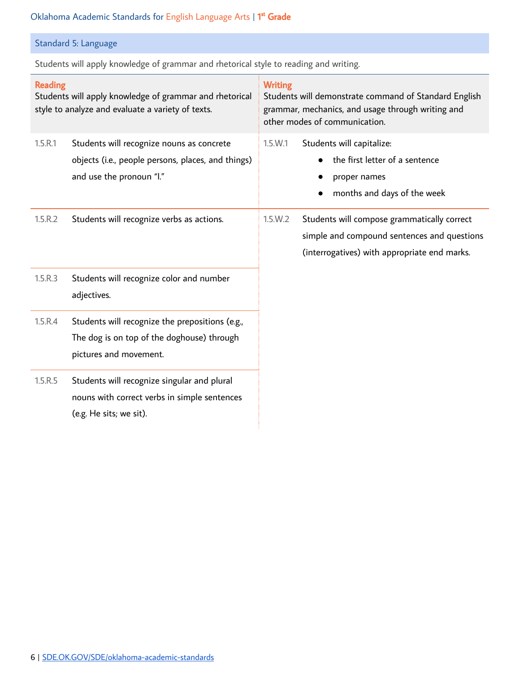# Standard 5: Language

Students will apply knowledge of grammar and rhetorical style to reading and writing.

| <b>Reading</b><br>Students will apply knowledge of grammar and rhetorical<br>style to analyze and evaluate a variety of texts. |                                                                                                                             | <b>Writing</b><br>Students will demonstrate command of Standard English<br>grammar, mechanics, and usage through writing and<br>other modes of communication. |                                                                                                                                            |  |
|--------------------------------------------------------------------------------------------------------------------------------|-----------------------------------------------------------------------------------------------------------------------------|---------------------------------------------------------------------------------------------------------------------------------------------------------------|--------------------------------------------------------------------------------------------------------------------------------------------|--|
| 1.5.R.1                                                                                                                        | Students will recognize nouns as concrete<br>objects (i.e., people persons, places, and things)<br>and use the pronoun "I." | 1.5.W.1                                                                                                                                                       | Students will capitalize:<br>the first letter of a sentence<br>proper names<br>months and days of the week                                 |  |
| 1.5.R.2                                                                                                                        | Students will recognize verbs as actions.                                                                                   | 1.5.W.2                                                                                                                                                       | Students will compose grammatically correct<br>simple and compound sentences and questions<br>(interrogatives) with appropriate end marks. |  |
| 1.5.R.3                                                                                                                        | Students will recognize color and number<br>adjectives.                                                                     |                                                                                                                                                               |                                                                                                                                            |  |
| 1.5.R.4                                                                                                                        | Students will recognize the prepositions (e.g.,<br>The dog is on top of the doghouse) through<br>pictures and movement.     |                                                                                                                                                               |                                                                                                                                            |  |
| 1.5.R.5                                                                                                                        | Students will recognize singular and plural<br>nouns with correct verbs in simple sentences<br>(e.g. He sits; we sit).      |                                                                                                                                                               |                                                                                                                                            |  |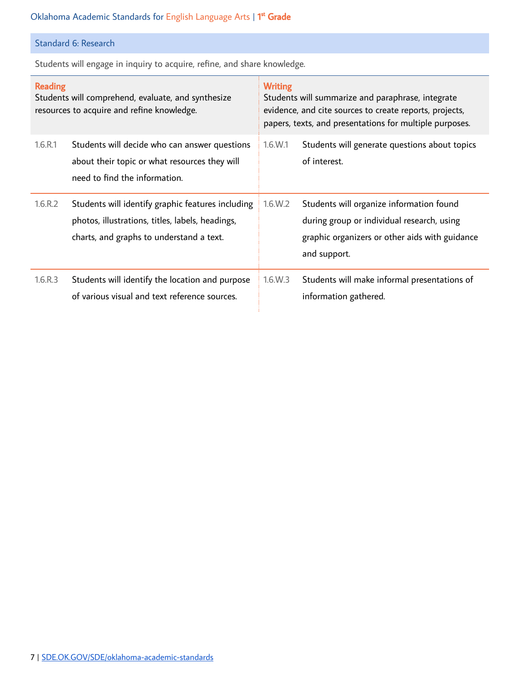## Standard 6: Research

Students will engage in inquiry to acquire, refine, and share knowledge.

| <b>Reading</b><br>Students will comprehend, evaluate, and synthesize<br>resources to acquire and refine knowledge. |                                                                                                                                                   | <b>Writing</b><br>Students will summarize and paraphrase, integrate<br>evidence, and cite sources to create reports, projects,<br>papers, texts, and presentations for multiple purposes. |                                                                                                                                                          |
|--------------------------------------------------------------------------------------------------------------------|---------------------------------------------------------------------------------------------------------------------------------------------------|-------------------------------------------------------------------------------------------------------------------------------------------------------------------------------------------|----------------------------------------------------------------------------------------------------------------------------------------------------------|
| 1.6.R.1                                                                                                            | Students will decide who can answer questions<br>about their topic or what resources they will<br>need to find the information.                   | $1.6$ .W.1                                                                                                                                                                                | Students will generate questions about topics<br>of interest.                                                                                            |
| 1.6.R.2                                                                                                            | Students will identify graphic features including<br>photos, illustrations, titles, labels, headings,<br>charts, and graphs to understand a text. | 1.6.W.2                                                                                                                                                                                   | Students will organize information found<br>during group or individual research, using<br>graphic organizers or other aids with guidance<br>and support. |
| 1.6.R.3                                                                                                            | Students will identify the location and purpose<br>of various visual and text reference sources.                                                  | 1.6.W.3                                                                                                                                                                                   | Students will make informal presentations of<br>information gathered.                                                                                    |